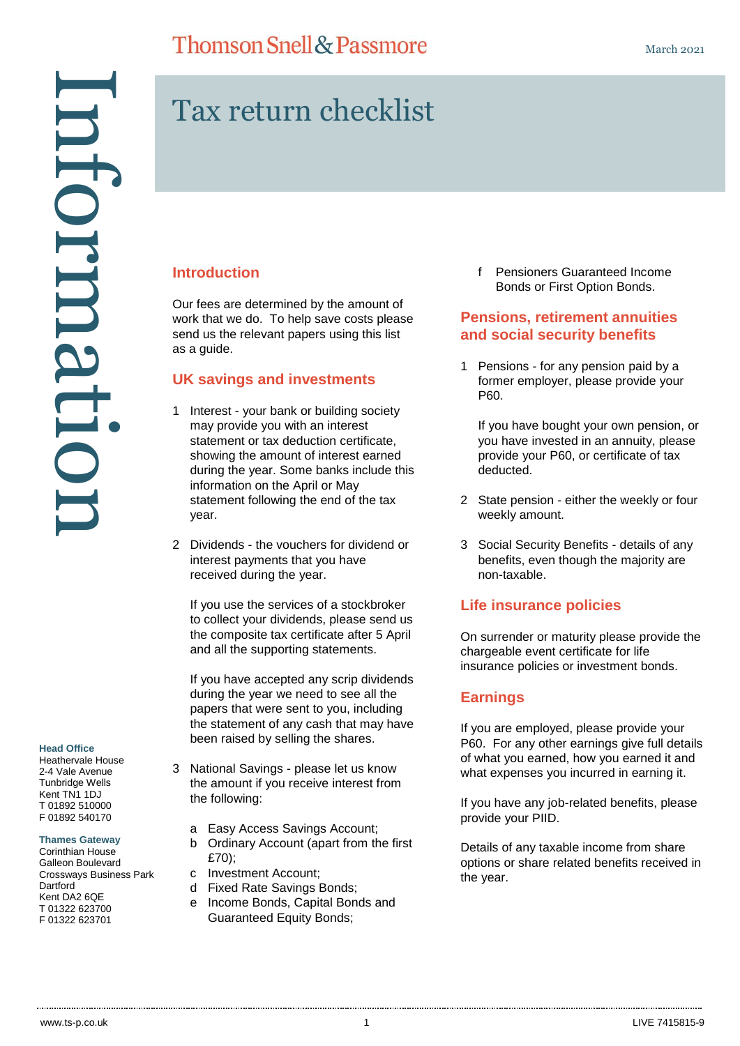## **Thomson Snell & Passmore**

# Tax return checklist

## **Introduction**

Our fees are determined by the amount of work that we do. To help save costs please send us the relevant papers using this list as a guide.

## **UK savings and investments**

- 1 Interest your bank or building society may provide you with an interest statement or tax deduction certificate, showing the amount of interest earned during the year. Some banks include this information on the April or May statement following the end of the tax year.
- 2 Dividends the vouchers for dividend or interest payments that you have received during the year.

If you use the services of a stockbroker to collect your dividends, please send us the composite tax certificate after 5 April and all the supporting statements.

If you have accepted any scrip dividends during the year we need to see all the papers that were sent to you, including the statement of any cash that may have been raised by selling the shares.

- 3 National Savings please let us know the amount if you receive interest from the following:
	- a Easy Access Savings Account;
	- b Ordinary Account (apart from the first £70);
	- c Investment Account;
	- d Fixed Rate Savings Bonds;
	- e Income Bonds, Capital Bonds and Guaranteed Equity Bonds;

f Pensioners Guaranteed Income Bonds or First Option Bonds.

### **Pensions, retirement annuities and social security benefits**

1 Pensions - for any pension paid by a former employer, please provide your P60.

If you have bought your own pension, or you have invested in an annuity, please provide your P60, or certificate of tax deducted.

- 2 State pension either the weekly or four weekly amount.
- 3 Social Security Benefits details of any benefits, even though the majority are non-taxable.

#### **Life insurance policies**

On surrender or maturity please provide the chargeable event certificate for life insurance policies or investment bonds.

## **Earnings**

If you are employed, please provide your P60. For any other earnings give full details of what you earned, how you earned it and what expenses you incurred in earning it.

If you have any job-related benefits, please provide your PIID.

Details of any taxable income from share options or share related benefits received in the year.

#### **Head Office**

Heathervale House 2-4 Vale Avenue Tunbridge Wells Kent TN1 1DJ T 01892 510000 F 01892 540170

#### **Thames Gateway**

Corinthian House Galleon Boulevard Crossways Business Park **Dartford** Kent DA2 6QE T 01322 623700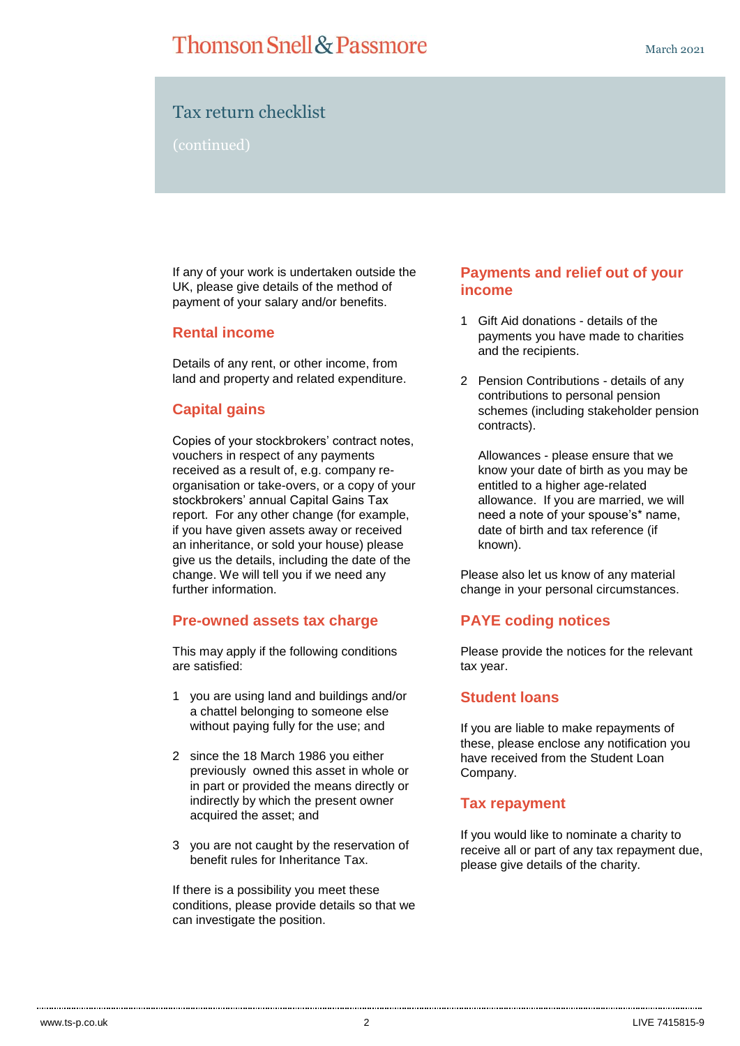## **Thomson Snell & Passmore**

## Tax return checklist

(continued)

If any of your work is undertaken outside the UK, please give details of the method of payment of your salary and/or benefits.

#### **Rental income**

Details of any rent, or other income, from land and property and related expenditure.

## **Capital gains**

Copies of your stockbrokers' contract notes, vouchers in respect of any payments received as a result of, e.g. company reorganisation or take-overs, or a copy of your stockbrokers' annual Capital Gains Tax report. For any other change (for example, if you have given assets away or received an inheritance, or sold your house) please give us the details, including the date of the change. We will tell you if we need any further information.

#### **Pre-owned assets tax charge**

This may apply if the following conditions are satisfied:

- 1 you are using land and buildings and/or a chattel belonging to someone else without paying fully for the use; and
- 2 since the 18 March 1986 you either previously owned this asset in whole or in part or provided the means directly or indirectly by which the present owner acquired the asset; and
- 3 you are not caught by the reservation of benefit rules for Inheritance Tax.

If there is a possibility you meet these conditions, please provide details so that we can investigate the position.

### **Payments and relief out of your income**

- 1 Gift Aid donations details of the payments you have made to charities and the recipients.
- 2 Pension Contributions details of any contributions to personal pension schemes (including stakeholder pension contracts).

Allowances - please ensure that we know your date of birth as you may be entitled to a higher age-related allowance. If you are married, we will need a note of your spouse's\* name, date of birth and tax reference (if known).

Please also let us know of any material change in your personal circumstances.

## **PAYE coding notices**

Please provide the notices for the relevant tax year.

#### **Student loans**

If you are liable to make repayments of these, please enclose any notification you have received from the Student Loan Company.

#### **Tax repayment**

If you would like to nominate a charity to receive all or part of any tax repayment due, please give details of the charity.